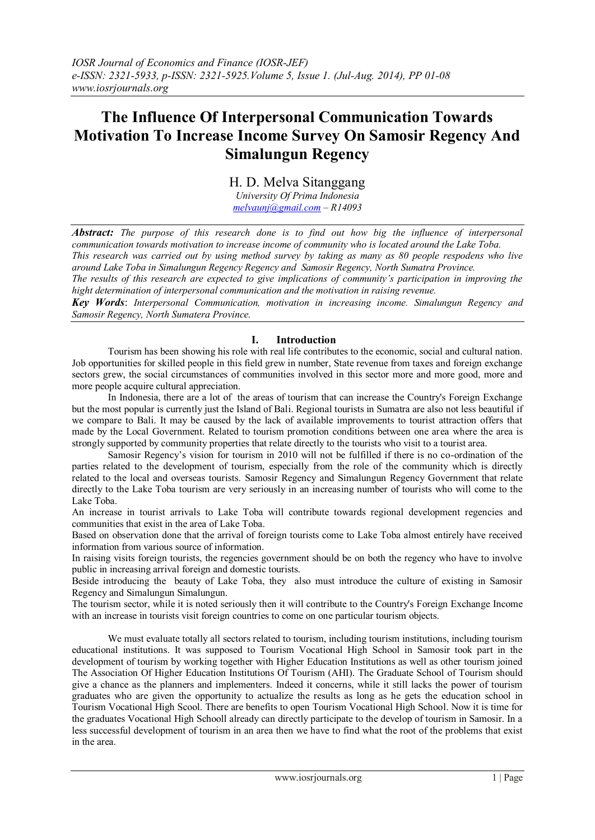# **The Influence Of Interpersonal Communication Towards Motivation To Increase Income Survey On Samosir Regency And Simalungun Regency**

H. D. Melva Sitanggang

*University Of Prima Indonesia [melvaunj@gmail.com](mailto:melvaunj@gmail.com) – R14093*

*Abstract: The purpose of this research done is to find out how big the influence of interpersonal communication towards motivation to increase income of community who is located around the Lake Toba.*

*This research was carried out by using method survey by taking as many as 80 people respodens who live around Lake Toba in Simalungun Regency Regency and Samosir Regency, North Sumatra Province.*

*The results of this research are expected to give implications of community's participation in improving the hight determination of interpersonal communication and the motivation in raising revenue.*

*Key Words*: *Interpersonal Communication, motivation in increasing income. Simalungun Regency and Samosir Regency, North Sumatera Province.*

## **I. Introduction**

Tourism has been showing his role with real life contributes to the economic, social and cultural nation. Job opportunities for skilled people in this field grew in number, State revenue from taxes and foreign exchange sectors grew, the social circumstances of communities involved in this sector more and more good, more and more people acquire cultural appreciation.

In Indonesia, there are a lot of the areas of tourism that can increase the Country's Foreign Exchange but the most popular is currently just the Island of Bali. Regional tourists in Sumatra are also not less beautiful if we compare to Bali. It may be caused by the lack of available improvements to tourist attraction offers that made by the Local Government. Related to tourism promotion conditions between one area where the area is strongly supported by community properties that relate directly to the tourists who visit to a tourist area.

Samosir Regency's vision for tourism in 2010 will not be fulfilled if there is no co-ordination of the parties related to the development of tourism, especially from the role of the community which is directly related to the local and overseas tourists. Samosir Regency and Simalungun Regency Government that relate directly to the Lake Toba tourism are very seriously in an increasing number of tourists who will come to the Lake Toba.

An increase in tourist arrivals to Lake Toba will contribute towards regional development regencies and communities that exist in the area of Lake Toba.

Based on observation done that the arrival of foreign tourists come to Lake Toba almost entirely have received information from various source of information.

In raising visits foreign tourists, the regencies government should be on both the regency who have to involve public in increasing arrival foreign and domestic tourists.

Beside introducing the beauty of Lake Toba, they also must introduce the culture of existing in Samosir Regency and Simalungun Simalungun.

The tourism sector, while it is noted seriously then it will contribute to the Country's Foreign Exchange Income with an increase in tourists visit foreign countries to come on one particular tourism objects.

We must evaluate totally all sectors related to tourism, including tourism institutions, including tourism educational institutions. It was supposed to Tourism Vocational High School in Samosir took part in the development of tourism by working together with Higher Education Institutions as well as other tourism joined The Association Of Higher Education Institutions Of Tourism (AHI). The Graduate School of Tourism should give a chance as the planners and implementers. Indeed it concerns, while it still lacks the power of tourism graduates who are given the opportunity to actualize the results as long as he gets the education school in Tourism Vocational High Scool. There are benefits to open Tourism Vocational High School. Now it is time for the graduates Vocational High Schooll already can directly participate to the develop of tourism in Samosir. In a less successful development of tourism in an area then we have to find what the root of the problems that exist in the area.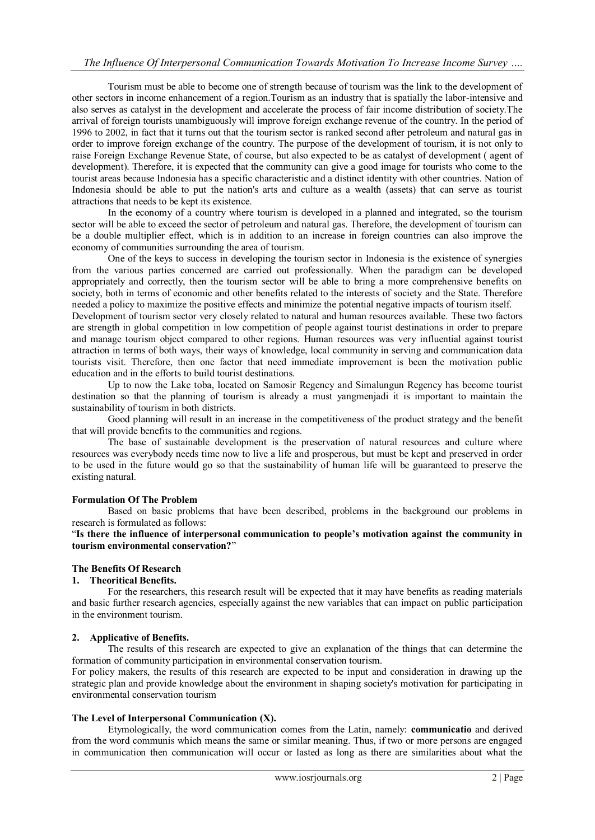Tourism must be able to become one of strength because of tourism was the link to the development of other sectors in income enhancement of a region.Tourism as an industry that is spatially the labor-intensive and also serves as catalyst in the development and accelerate the process of fair income distribution of society.The arrival of foreign tourists unambiguously will improve foreign exchange revenue of the country. In the period of 1996 to 2002, in fact that it turns out that the tourism sector is ranked second after petroleum and natural gas in order to improve foreign exchange of the country. The purpose of the development of tourism, it is not only to raise Foreign Exchange Revenue State, of course, but also expected to be as catalyst of development ( agent of development). Therefore, it is expected that the community can give a good image for tourists who come to the tourist areas because Indonesia has a specific characteristic and a distinct identity with other countries. Nation of Indonesia should be able to put the nation's arts and culture as a wealth (assets) that can serve as tourist attractions that needs to be kept its existence.

In the economy of a country where tourism is developed in a planned and integrated, so the tourism sector will be able to exceed the sector of petroleum and natural gas. Therefore, the development of tourism can be a double multiplier effect, which is in addition to an increase in foreign countries can also improve the economy of communities surrounding the area of tourism.

One of the keys to success in developing the tourism sector in Indonesia is the existence of synergies from the various parties concerned are carried out professionally. When the paradigm can be developed appropriately and correctly, then the tourism sector will be able to bring a more comprehensive benefits on society, both in terms of economic and other benefits related to the interests of society and the State. Therefore needed a policy to maximize the positive effects and minimize the potential negative impacts of tourism itself.

Development of tourism sector very closely related to natural and human resources available. These two factors are strength in global competition in low competition of people against tourist destinations in order to prepare and manage tourism object compared to other regions. Human resources was very influential against tourist attraction in terms of both ways, their ways of knowledge, local community in serving and communication data tourists visit. Therefore, then one factor that need immediate improvement is been the motivation public education and in the efforts to build tourist destinations.

Up to now the Lake toba, located on Samosir Regency and Simalungun Regency has become tourist destination so that the planning of tourism is already a must yangmenjadi it is important to maintain the sustainability of tourism in both districts.

Good planning will result in an increase in the competitiveness of the product strategy and the benefit that will provide benefits to the communities and regions.

The base of sustainable development is the preservation of natural resources and culture where resources was everybody needs time now to live a life and prosperous, but must be kept and preserved in order to be used in the future would go so that the sustainability of human life will be guaranteed to preserve the existing natural.

## **Formulation Of The Problem**

Based on basic problems that have been described, problems in the background our problems in research is formulated as follows:

"**Is there the influence of interpersonal communication to people's motivation against the community in tourism environmental conservation?**"

## **The Benefits Of Research**

#### **1. Theoritical Benefits.**

For the researchers, this research result will be expected that it may have benefits as reading materials and basic further research agencies, especially against the new variables that can impact on public participation in the environment tourism.

#### **2. Applicative of Benefits.**

The results of this research are expected to give an explanation of the things that can determine the formation of community participation in environmental conservation tourism.

For policy makers, the results of this research are expected to be input and consideration in drawing up the strategic plan and provide knowledge about the environment in shaping society's motivation for participating in environmental conservation tourism

## **The Level of Interpersonal Communication (X).**

Etymologically, the word communication comes from the Latin, namely: **communicatio** and derived from the word communis which means the same or similar meaning. Thus, if two or more persons are engaged in communication then communication will occur or lasted as long as there are similarities about what the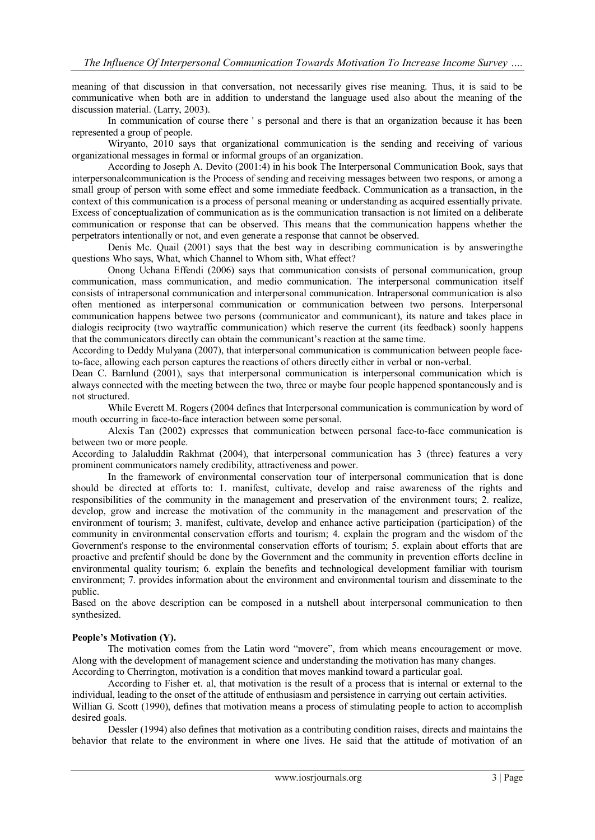meaning of that discussion in that conversation, not necessarily gives rise meaning. Thus, it is said to be communicative when both are in addition to understand the language used also about the meaning of the discussion material. (Larry, 2003).

In communication of course there ' s personal and there is that an organization because it has been represented a group of people.

Wiryanto, 2010 says that organizational communication is the sending and receiving of various organizational messages in formal or informal groups of an organization.

According to Joseph A. Devito (2001:4) in his book The Interpersonal Communication Book, says that interpersonalcommunication is the Process of sending and receiving messages between two respons, or among a small group of person with some effect and some immediate feedback. Communication as a transaction, in the context of this communication is a process of personal meaning or understanding as acquired essentially private. Excess of conceptualization of communication as is the communication transaction is not limited on a deliberate communication or response that can be observed. This means that the communication happens whether the perpetrators intentionally or not, and even generate a response that cannot be observed.

Denis Mc. Quail (2001) says that the best way in describing communication is by answeringthe questions Who says, What, which Channel to Whom sith, What effect?

Onong Uchana Effendi (2006) says that communication consists of personal communication, group communication, mass communication, and medio communication. The interpersonal communication itself consists of intrapersonal communication and interpersonal communication. Intrapersonal communication is also often mentioned as interpersonal communication or communication between two persons. Interpersonal communication happens betwee two persons (communicator and communicant), its nature and takes place in dialogis reciprocity (two waytraffic communication) which reserve the current (its feedback) soonly happens that the communicators directly can obtain the communicant's reaction at the same time.

According to Deddy Mulyana (2007), that interpersonal communication is communication between people faceto-face, allowing each person captures the reactions of others directly either in verbal or non-verbal.

Dean C. Barnlund (2001), says that interpersonal communication is interpersonal communication which is always connected with the meeting between the two, three or maybe four people happened spontaneously and is not structured.

While Everett M. Rogers (2004 defines that Interpersonal communication is communication by word of mouth occurring in face-to-face interaction between some personal.

Alexis Tan (2002) expresses that communication between personal face-to-face communication is between two or more people.

According to Jalaluddin Rakhmat (2004), that interpersonal communication has 3 (three) features a very prominent communicators namely credibility, attractiveness and power.

In the framework of environmental conservation tour of interpersonal communication that is done should be directed at efforts to: 1. manifest, cultivate, develop and raise awareness of the rights and responsibilities of the community in the management and preservation of the environment tours; 2. realize, develop, grow and increase the motivation of the community in the management and preservation of the environment of tourism; 3. manifest, cultivate, develop and enhance active participation (participation) of the community in environmental conservation efforts and tourism; 4. explain the program and the wisdom of the Government's response to the environmental conservation efforts of tourism; 5. explain about efforts that are proactive and prefentif should be done by the Government and the community in prevention efforts decline in environmental quality tourism; 6. explain the benefits and technological development familiar with tourism environment; 7. provides information about the environment and environmental tourism and disseminate to the public.

Based on the above description can be composed in a nutshell about interpersonal communication to then synthesized.

#### **People's Motivation (Y).**

The motivation comes from the Latin word "movere", from which means encouragement or move. Along with the development of management science and understanding the motivation has many changes. According to Cherrington, motivation is a condition that moves mankind toward a particular goal.

According to Fisher et. al, that motivation is the result of a process that is internal or external to the individual, leading to the onset of the attitude of enthusiasm and persistence in carrying out certain activities. Willian G. Scott (1990), defines that motivation means a process of stimulating people to action to accomplish desired goals.

Dessler (1994) also defines that motivation as a contributing condition raises, directs and maintains the behavior that relate to the environment in where one lives. He said that the attitude of motivation of an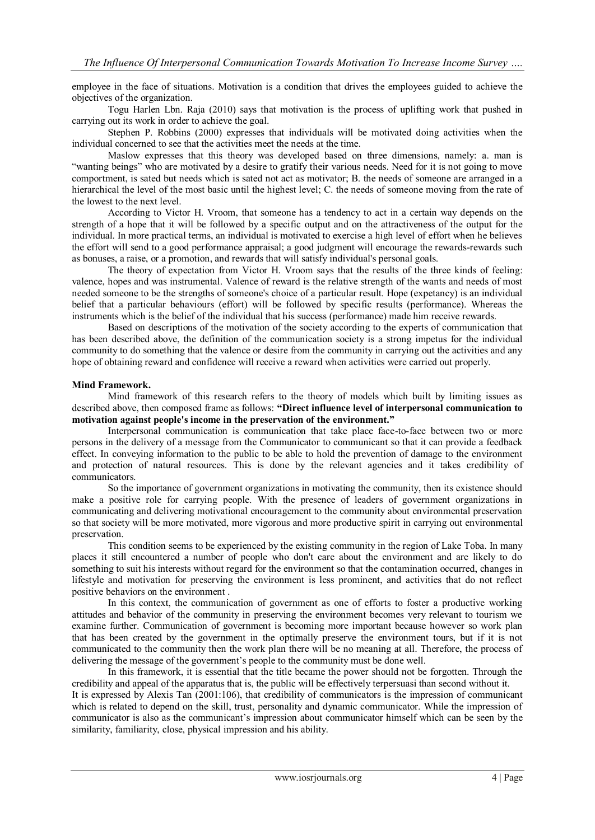employee in the face of situations. Motivation is a condition that drives the employees guided to achieve the objectives of the organization.

Togu Harlen Lbn. Raja (2010) says that motivation is the process of uplifting work that pushed in carrying out its work in order to achieve the goal.

Stephen P. Robbins (2000) expresses that individuals will be motivated doing activities when the individual concerned to see that the activities meet the needs at the time.

Maslow expresses that this theory was developed based on three dimensions, namely: a. man is "wanting beings" who are motivated by a desire to gratify their various needs. Need for it is not going to move comportment, is sated but needs which is sated not act as motivator; B. the needs of someone are arranged in a hierarchical the level of the most basic until the highest level; C. the needs of someone moving from the rate of the lowest to the next level.

According to Victor H. Vroom, that someone has a tendency to act in a certain way depends on the strength of a hope that it will be followed by a specific output and on the attractiveness of the output for the individual. In more practical terms, an individual is motivated to exercise a high level of effort when he believes the effort will send to a good performance appraisal; a good judgment will encourage the rewards-rewards such as bonuses, a raise, or a promotion, and rewards that will satisfy individual's personal goals.

The theory of expectation from Victor H. Vroom says that the results of the three kinds of feeling: valence, hopes and was instrumental. Valence of reward is the relative strength of the wants and needs of most needed someone to be the strengths of someone's choice of a particular result. Hope (expetancy) is an individual belief that a particular behaviours (effort) will be followed by specific results (performance). Whereas the instruments which is the belief of the individual that his success (performance) made him receive rewards.

Based on descriptions of the motivation of the society according to the experts of communication that has been described above, the definition of the communication society is a strong impetus for the individual community to do something that the valence or desire from the community in carrying out the activities and any hope of obtaining reward and confidence will receive a reward when activities were carried out properly.

#### **Mind Framework.**

Mind framework of this research refers to the theory of models which built by limiting issues as described above, then composed frame as follows: **"Direct influence level of interpersonal communication to motivation against people's income in the preservation of the environment."**

Interpersonal communication is communication that take place face-to-face between two or more persons in the delivery of a message from the Communicator to communicant so that it can provide a feedback effect. In conveying information to the public to be able to hold the prevention of damage to the environment and protection of natural resources. This is done by the relevant agencies and it takes credibility of communicators.

So the importance of government organizations in motivating the community, then its existence should make a positive role for carrying people. With the presence of leaders of government organizations in communicating and delivering motivational encouragement to the community about environmental preservation so that society will be more motivated, more vigorous and more productive spirit in carrying out environmental preservation.

This condition seems to be experienced by the existing community in the region of Lake Toba. In many places it still encountered a number of people who don't care about the environment and are likely to do something to suit his interests without regard for the environment so that the contamination occurred, changes in lifestyle and motivation for preserving the environment is less prominent, and activities that do not reflect positive behaviors on the environment .

In this context, the communication of government as one of efforts to foster a productive working attitudes and behavior of the community in preserving the environment becomes very relevant to tourism we examine further. Communication of government is becoming more important because however so work plan that has been created by the government in the optimally preserve the environment tours, but if it is not communicated to the community then the work plan there will be no meaning at all. Therefore, the process of delivering the message of the government's people to the community must be done well.

In this framework, it is essential that the title became the power should not be forgotten. Through the credibility and appeal of the apparatus that is, the public will be effectively terpersuasi than second without it. It is expressed by Alexis Tan (2001:106), that credibility of communicators is the impression of communicant which is related to depend on the skill, trust, personality and dynamic communicator. While the impression of communicator is also as the communicant's impression about communicator himself which can be seen by the similarity, familiarity, close, physical impression and his ability.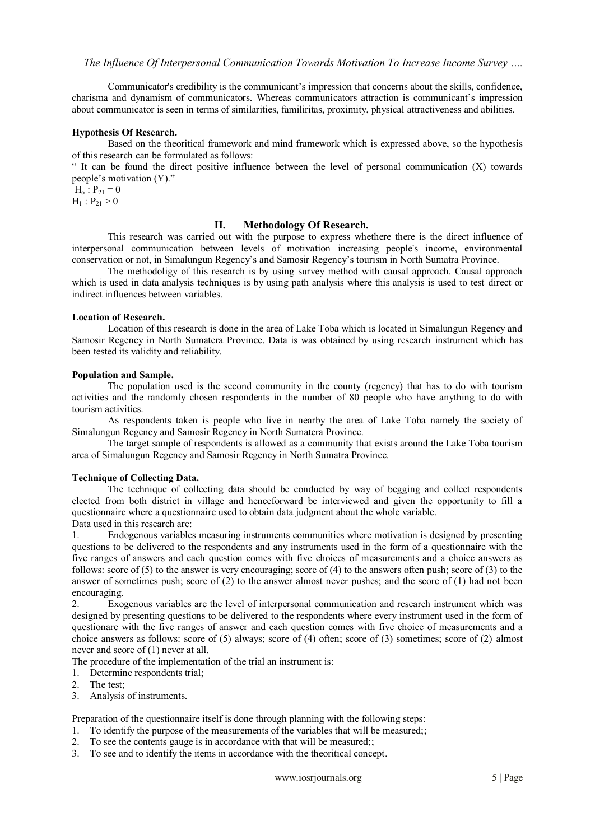Communicator's credibility is the communicant's impression that concerns about the skills, confidence, charisma and dynamism of communicators. Whereas communicators attraction is communicant's impression about communicator is seen in terms of similarities, familiritas, proximity, physical attractiveness and abilities.

## **Hypothesis Of Research.**

Based on the theoritical framework and mind framework which is expressed above, so the hypothesis of this research can be formulated as follows:

" It can be found the direct positive influence between the level of personal communication (X) towards people's motivation (Y)."

 $H_0$ :  $P_{21} = 0$ 

 $H_1 : P_{21} > 0$ 

#### **II. Methodology Of Research.**

This research was carried out with the purpose to express whethere there is the direct influence of interpersonal communication between levels of motivation increasing people's income, environmental conservation or not, in Simalungun Regency's and Samosir Regency's tourism in North Sumatra Province.

The methodoligy of this research is by using survey method with causal approach. Causal approach which is used in data analysis techniques is by using path analysis where this analysis is used to test direct or indirect influences between variables.

#### **Location of Research.**

Location of this research is done in the area of Lake Toba which is located in Simalungun Regency and Samosir Regency in North Sumatera Province. Data is was obtained by using research instrument which has been tested its validity and reliability.

#### **Population and Sample.**

The population used is the second community in the county (regency) that has to do with tourism activities and the randomly chosen respondents in the number of 80 people who have anything to do with tourism activities.

As respondents taken is people who live in nearby the area of Lake Toba namely the society of Simalungun Regency and Samosir Regency in North Sumatera Province.

The target sample of respondents is allowed as a community that exists around the Lake Toba tourism area of Simalungun Regency and Samosir Regency in North Sumatra Province.

#### **Technique of Collecting Data.**

The technique of collecting data should be conducted by way of begging and collect respondents elected from both district in village and henceforward be interviewed and given the opportunity to fill a questionnaire where a questionnaire used to obtain data judgment about the whole variable.

Data used in this research are:

1. Endogenous variables measuring instruments communities where motivation is designed by presenting questions to be delivered to the respondents and any instruments used in the form of a questionnaire with the five ranges of answers and each question comes with five choices of measurements and a choice answers as follows: score of (5) to the answer is very encouraging; score of (4) to the answers often push; score of (3) to the answer of sometimes push; score of (2) to the answer almost never pushes; and the score of (1) had not been encouraging.

2. Exogenous variables are the level of interpersonal communication and research instrument which was designed by presenting questions to be delivered to the respondents where every instrument used in the form of questionare with the five ranges of answer and each question comes with five choice of measurements and a choice answers as follows: score of (5) always; score of (4) often; score of (3) sometimes; score of (2) almost never and score of (1) never at all.

The procedure of the implementation of the trial an instrument is:

- 1. Determine respondents trial;
- 2. The test;
- 3. Analysis of instruments.

Preparation of the questionnaire itself is done through planning with the following steps:

- 1. To identify the purpose of the measurements of the variables that will be measured;;
- 2. To see the contents gauge is in accordance with that will be measured;;
- 3. To see and to identify the items in accordance with the theoritical concept.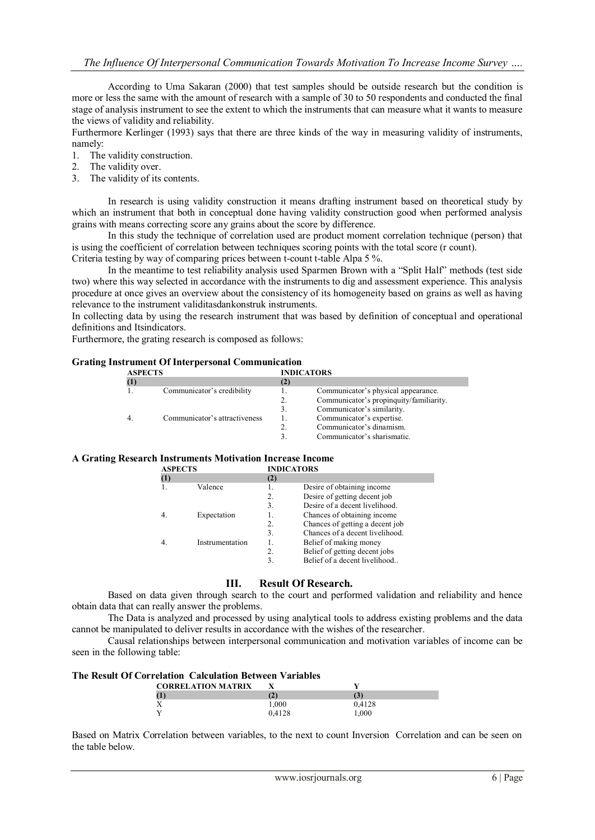According to Uma Sakaran (2000) that test samples should be outside research but the condition is more or less the same with the amount of research with a sample of 30 to 50 respondents and conducted the final stage of analysis instrument to see the extent to which the instruments that can measure what it wants to measure the views of validity and reliability.

Furthermore Kerlinger (1993) says that there are three kinds of the way in measuring validity of instruments, namely:

- 1. The validity construction.
- 2. The validity over.
- 3. The validity of its contents.

In research is using validity construction it means drafting instrument based on theoretical study by which an instrument that both in conceptual done having validity construction good when performed analysis grains with means correcting score any grains about the score by difference.

In this study the technique of correlation used are product moment correlation technique (person) that is using the coefficient of correlation between techniques scoring points with the total score (r count). Criteria testing by way of comparing prices between t-count t-table Alpa 5 %.

In the meantime to test reliability analysis used Sparmen Brown with a "Split Half" methods (test side two) where this way selected in accordance with the instruments to dig and assessment experience. This analysis procedure at once gives an overview about the consistency of its homogeneity based on grains as well as having relevance to the instrument validitasdankonstruk instruments.

In collecting data by using the research instrument that was based by definition of conceptual and operational definitions and Itsindicators.

Furthermore, the grating research is composed as follows:

| <b>Grating Instrument Of Interpersonal Communication</b> |  |  |  |  |  |
|----------------------------------------------------------|--|--|--|--|--|
|----------------------------------------------------------|--|--|--|--|--|

| <b>ASPECTS</b> |                               | <b>INDICATORS</b> |                                         |
|----------------|-------------------------------|-------------------|-----------------------------------------|
| (1)            |                               | (2)               |                                         |
|                | Communicator's credibility    |                   | Communicator's physical appearance.     |
|                |                               | 2.                | Communicator's propinquity/familiarity. |
|                |                               | 3.                | Communicator's similarity.              |
|                | Communicator's attractiveness |                   | Communicator's expertise.               |
|                |                               |                   | Communicator's dinamism.                |
|                |                               |                   | Communicator's sharismatic.             |

## **A Grating Research Instruments Motivation Increase Income**

| <b>ASPECTS</b> |                 |     | <b>INDICATORS</b>               |  |
|----------------|-----------------|-----|---------------------------------|--|
| (1)            |                 | (2) |                                 |  |
|                | Valence         |     | Desire of obtaining income.     |  |
|                |                 | 2.  | Desire of getting decent job    |  |
|                |                 | 3.  | Desire of a decent livelihood.  |  |
|                | Expectation     |     | Chances of obtaining income     |  |
|                |                 | 2.  | Chances of getting a decent job |  |
|                |                 | 3.  | Chances of a decent livelihood. |  |
|                | Instrumentation |     | Belief of making money          |  |
|                |                 | 2.  | Belief of getting decent jobs   |  |
|                |                 | 3.  | Belief of a decent livelihood   |  |

## **III. Result Of Research.**

Based on data given through search to the court and performed validation and reliability and hence obtain data that can really answer the problems.

The Data is analyzed and processed by using analytical tools to address existing problems and the data cannot be manipulated to deliver results in accordance with the wishes of the researcher.

Causal relationships between interpersonal communication and motivation variables of income can be seen in the following table:

### **The Result Of Correlation Calculation Between Variables**

| <b>CORRELATION MATRIX</b> |        |        |  |
|---------------------------|--------|--------|--|
|                           |        | I÷.    |  |
|                           | 1.000  | 0.4128 |  |
|                           | 0.4128 | 000    |  |

Based on Matrix Correlation between variables, to the next to count Inversion Correlation and can be seen on the table below.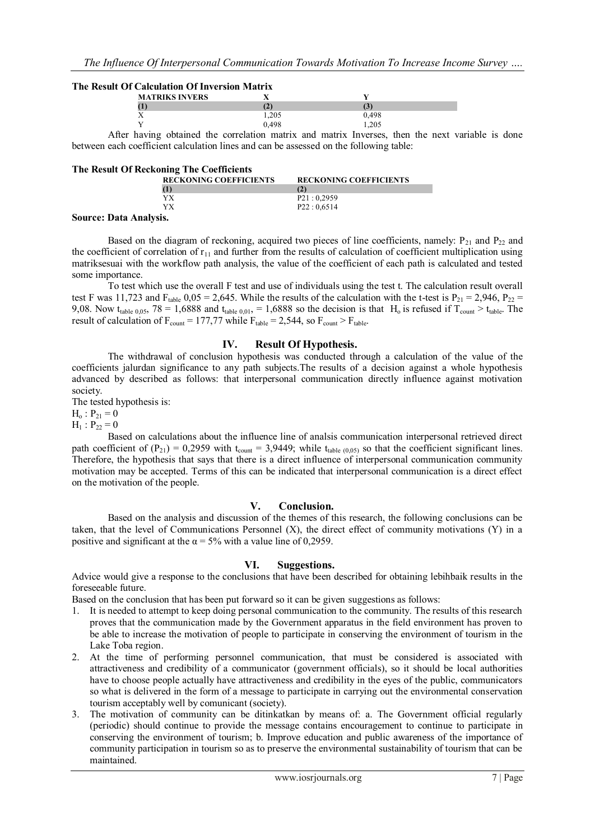#### **The Result Of Calculation Of Inversion Matrix**

| <b>MATRIKS INVERS</b> |       |       |  |
|-----------------------|-------|-------|--|
|                       |       |       |  |
| . .<br>∡⊾             | 1.205 | .498  |  |
|                       | 0.498 | 1.40J |  |

After having obtained the correlation matrix and matrix Inverses, then the next variable is done between each coefficient calculation lines and can be assessed on the following table:

| <b>The Result Of Reckoning The Coefficients</b> |                               |
|-------------------------------------------------|-------------------------------|
| <b>RECKONING COEFFICIENTS</b>                   | <b>RECKONING COEFFICIENTS</b> |
| (1)                                             |                               |
| YX                                              | P21:0.2959                    |
| YХ                                              | P22:0.6514                    |

#### **Source: Data Analysis.**

Based on the diagram of reckoning, acquired two pieces of line coefficients, namely:  $P_{21}$  and  $P_{22}$  and the coefficient of correlation of  $r_{11}$  and further from the results of calculation of coefficient multiplication using matriksesuai with the workflow path analysis, the value of the coefficient of each path is calculated and tested some importance.

To test which use the overall F test and use of individuals using the test t. The calculation result overall test F was 11,723 and  $F_{table}$  0,05 = 2,645. While the results of the calculation with the t-test is  $P_{21} = 2,946$ ,  $P_{22} =$ 9,08. Now t<sub>table 0,05</sub>, 78 = 1,6888 and t<sub>table 0,01</sub>, = 1,6888 so the decision is that H<sub>o</sub> is refused if T<sub>count</sub> > t<sub>table</sub>. The result of calculation of  $F_{\text{count}} = 177,77$  while  $F_{\text{table}} = 2,544$ , so  $F_{\text{count}} > F_{\text{table}}$ .

### **IV. Result Of Hypothesis.**

The withdrawal of conclusion hypothesis was conducted through a calculation of the value of the coefficients jalurdan significance to any path subjects.The results of a decision against a whole hypothesis advanced by described as follows: that interpersonal communication directly influence against motivation society.

The tested hypothesis is:

 $H_0$ :  $P_{21} = 0$ 

 $H_1$ :  $P_{22} = 0$ 

Based on calculations about the influence line of analsis communication interpersonal retrieved direct path coefficient of  $(P_{21}) = 0,2959$  with  $t_{count} = 3,9449$ ; while  $t_{table (0,05)}$  so that the coefficient significant lines. Therefore, the hypothesis that says that there is a direct influence of interpersonal communication community motivation may be accepted. Terms of this can be indicated that interpersonal communication is a direct effect on the motivation of the people.

#### **V. Conclusion.**

Based on the analysis and discussion of the themes of this research, the following conclusions can be taken, that the level of Communications Personnel (X), the direct effect of community motivations (Y) in a positive and significant at the  $\alpha = 5\%$  with a value line of 0,2959.

#### **VI. Suggestions.**

Advice would give a response to the conclusions that have been described for obtaining lebihbaik results in the foreseeable future.

Based on the conclusion that has been put forward so it can be given suggestions as follows:

- 1. It is needed to attempt to keep doing personal communication to the community. The results of this research proves that the communication made by the Government apparatus in the field environment has proven to be able to increase the motivation of people to participate in conserving the environment of tourism in the Lake Toba region.
- 2. At the time of performing personnel communication, that must be considered is associated with attractiveness and credibility of a communicator (government officials), so it should be local authorities have to choose people actually have attractiveness and credibility in the eyes of the public, communicators so what is delivered in the form of a message to participate in carrying out the environmental conservation tourism acceptably well by comunicant (society).
- 3. The motivation of community can be ditinkatkan by means of: a. The Government official regularly (periodic) should continue to provide the message contains encouragement to continue to participate in conserving the environment of tourism; b. Improve education and public awareness of the importance of community participation in tourism so as to preserve the environmental sustainability of tourism that can be maintained.